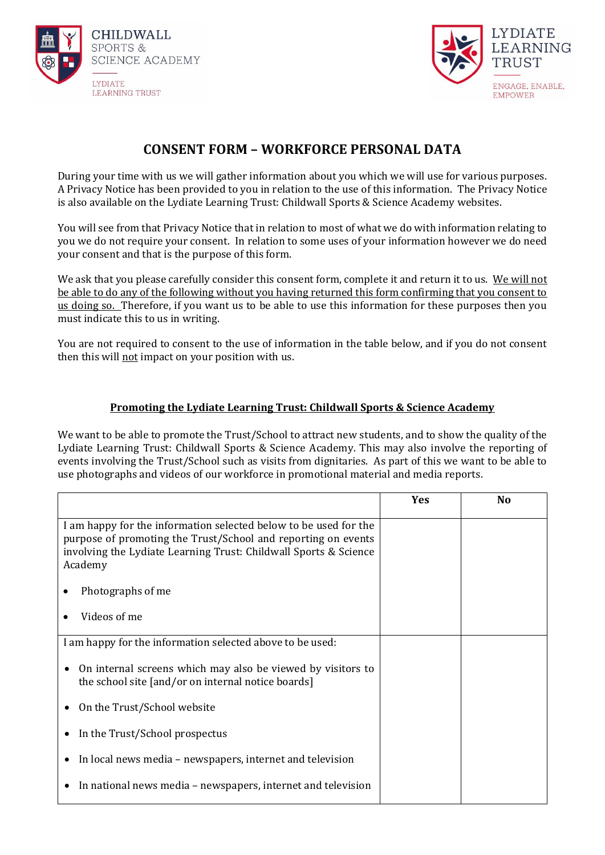



## **CONSENT FORM – WORKFORCE PERSONAL DATA**

During your time with us we will gather information about you which we will use for various purposes. A Privacy Notice has been provided to you in relation to the use of this information. The Privacy Notice is also available on the Lydiate Learning Trust: Childwall Sports & Science Academy websites.

You will see from that Privacy Notice that in relation to most of what we do with information relating to you we do not require your consent. In relation to some uses of your information however we do need your consent and that is the purpose of this form.

We ask that you please carefully consider this consent form, complete it and return it to us. We will not be able to do any of the following without you having returned this form confirming that you consent to us doing so. Therefore, if you want us to be able to use this information for these purposes then you must indicate this to us in writing.

You are not required to consent to the use of information in the table below, and if you do not consent then this will not impact on your position with us.

## **Promoting the Lydiate Learning Trust: Childwall Sports & Science Academy**

We want to be able to promote the Trust/School to attract new students, and to show the quality of the Lydiate Learning Trust: Childwall Sports & Science Academy. This may also involve the reporting of events involving the Trust/School such as visits from dignitaries. As part of this we want to be able to use photographs and videos of our workforce in promotional material and media reports.

|                                                                                                                                                                                                                  | Yes | N <sub>0</sub> |
|------------------------------------------------------------------------------------------------------------------------------------------------------------------------------------------------------------------|-----|----------------|
| I am happy for the information selected below to be used for the<br>purpose of promoting the Trust/School and reporting on events<br>involving the Lydiate Learning Trust: Childwall Sports & Science<br>Academy |     |                |
| Photographs of me                                                                                                                                                                                                |     |                |
| Videos of me                                                                                                                                                                                                     |     |                |
| I am happy for the information selected above to be used:                                                                                                                                                        |     |                |
| On internal screens which may also be viewed by visitors to<br>٠<br>the school site [and/or on internal notice boards]                                                                                           |     |                |
| On the Trust/School website                                                                                                                                                                                      |     |                |
| In the Trust/School prospectus<br>٠                                                                                                                                                                              |     |                |
| In local news media – newspapers, internet and television<br>$\bullet$                                                                                                                                           |     |                |
| In national news media – newspapers, internet and television                                                                                                                                                     |     |                |